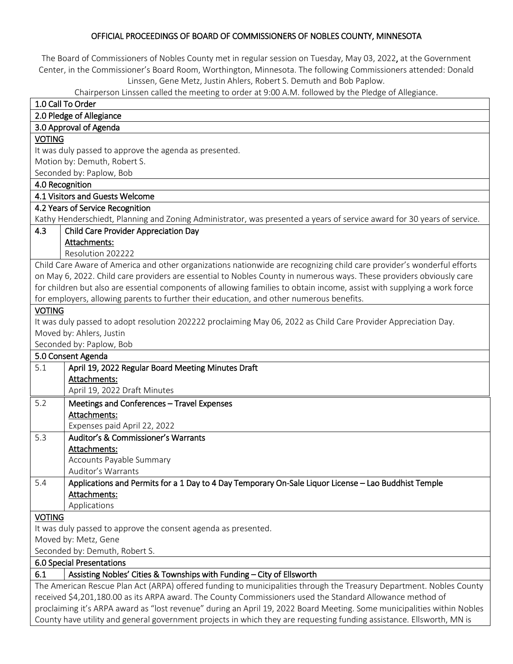### OFFICIAL PROCEEDINGS OF BOARD OF COMMISSIONERS OF NOBLES COUNTY, MINNESOTA

The Board of Commissioners of Nobles County met in regular session on Tuesday, May 03, 2022, at the Government Center, in the Commissioner's Board Room, Worthington, Minnesota. The following Commissioners attended: Donald Linssen, Gene Metz, Justin Ahlers, Robert S. Demuth and Bob Paplow.

Chairperson Linssen called the meeting to order at 9:00 A.M. followed by the Pledge of Allegiance.

| 1.0 Call To Order                                                                                                        |  |  |
|--------------------------------------------------------------------------------------------------------------------------|--|--|
| 2.0 Pledge of Allegiance                                                                                                 |  |  |
| 3.0 Approval of Agenda                                                                                                   |  |  |
| <b>VOTING</b>                                                                                                            |  |  |
| It was duly passed to approve the agenda as presented.                                                                   |  |  |
| Motion by: Demuth, Robert S.                                                                                             |  |  |
| Seconded by: Paplow, Bob                                                                                                 |  |  |
| 4.0 Recognition                                                                                                          |  |  |
| 4.1 Visitors and Guests Welcome                                                                                          |  |  |
| 4.2 Years of Service Recognition                                                                                         |  |  |
| Kathy Henderschiedt, Planning and Zoning Administrator, was presented a years of service award for 30 years of service.  |  |  |
| 4.3<br><b>Child Care Provider Appreciation Day</b>                                                                       |  |  |
| Attachments:                                                                                                             |  |  |
| Resolution 202222                                                                                                        |  |  |
| Child Care Aware of America and other organizations nationwide are recognizing child care provider's wonderful efforts   |  |  |
| on May 6, 2022. Child care providers are essential to Nobles County in numerous ways. These providers obviously care     |  |  |
| for children but also are essential components of allowing families to obtain income, assist with supplying a work force |  |  |
| for employers, allowing parents to further their education, and other numerous benefits.                                 |  |  |
| <b>VOTING</b>                                                                                                            |  |  |
| It was duly passed to adopt resolution 202222 proclaiming May 06, 2022 as Child Care Provider Appreciation Day.          |  |  |
| Moved by: Ahlers, Justin                                                                                                 |  |  |
| Seconded by: Paplow, Bob                                                                                                 |  |  |
| 5.0 Consent Agenda                                                                                                       |  |  |
| 5.1<br>April 19, 2022 Regular Board Meeting Minutes Draft                                                                |  |  |
| Attachments:                                                                                                             |  |  |
| April 19, 2022 Draft Minutes                                                                                             |  |  |
| 5.2<br>Meetings and Conferences - Travel Expenses                                                                        |  |  |
| Attachments:                                                                                                             |  |  |
| Expenses paid April 22, 2022                                                                                             |  |  |
| 5.3<br>Auditor's & Commissioner's Warrants                                                                               |  |  |
| Attachments:                                                                                                             |  |  |
| Accounts Payable Summary                                                                                                 |  |  |
| Auditor's Warrants                                                                                                       |  |  |
| 5.4<br>Applications and Permits for a 1 Day to 4 Day Temporary On-Sale Liquor License - Lao Buddhist Temple              |  |  |
| Attachments:                                                                                                             |  |  |
| Applications                                                                                                             |  |  |
| <b>VOTING</b>                                                                                                            |  |  |
| It was duly passed to approve the consent agenda as presented.                                                           |  |  |
|                                                                                                                          |  |  |
| Moved by: Metz, Gene                                                                                                     |  |  |
| Seconded by: Demuth, Robert S.                                                                                           |  |  |
| 6.0 Special Presentations                                                                                                |  |  |
| 6.1<br>Assisting Nobles' Cities & Townships with Funding - City of Ellsworth                                             |  |  |
| The American Rescue Plan Act (ARPA) offered funding to municipalities through the Treasury Department. Nobles County     |  |  |
| received \$4,201,180.00 as its ARPA award. The County Commissioners used the Standard Allowance method of                |  |  |
| proclaiming it's ARPA award as "lost revenue" during an April 19, 2022 Board Meeting. Some municipalities within Nobles  |  |  |
| County have utility and general government projects in which they are requesting funding assistance. Ellsworth, MN is    |  |  |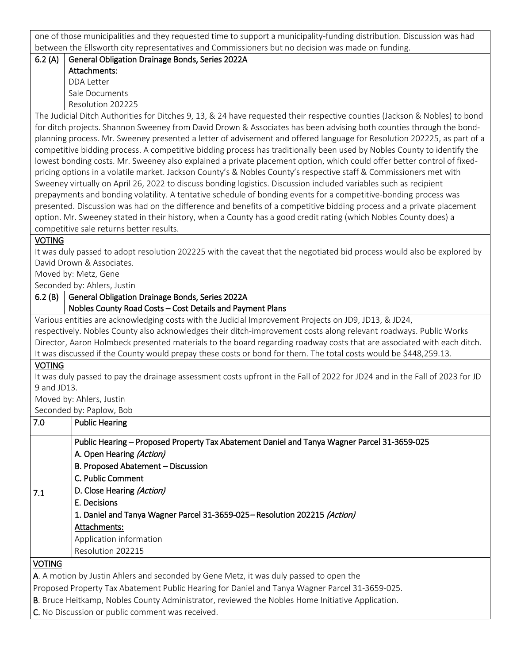one of those municipalities and they requested time to support a municipality-funding distribution. Discussion was had between the Ellsworth city representatives and Commissioners but no decision was made on funding.

### 6.2 (A) General Obligation Drainage Bonds, Series 2022A Attachments: DDA Letter Sale Documents Resolution 202225

The Judicial Ditch Authorities for Ditches 9, 13, & 24 have requested their respective counties (Jackson & Nobles) to bond for ditch projects. Shannon Sweeney from David Drown & Associates has been advising both counties through the bondplanning process. Mr. Sweeney presented a letter of advisement and offered language for Resolution 202225, as part of a competitive bidding process. A competitive bidding process has traditionally been used by Nobles County to identify the lowest bonding costs. Mr. Sweeney also explained a private placement option, which could offer better control of fixedpricing options in a volatile market. Jackson County's & Nobles County's respective staff & Commissioners met with Sweeney virtually on April 26, 2022 to discuss bonding logistics. Discussion included variables such as recipient prepayments and bonding volatility. A tentative schedule of bonding events for a competitive-bonding process was presented. Discussion was had on the difference and benefits of a competitive bidding process and a private placement option. Mr. Sweeney stated in their history, when a County has a good credit rating (which Nobles County does) a competitive sale returns better results.

### VOTING

It was duly passed to adopt resolution 202225 with the caveat that the negotiated bid process would also be explored by David Drown & Associates.

Moved by: Metz, Gene

Seconded by: Ahlers, Justin

# 6.2 (B) General Obligation Drainage Bonds, Series 2022A Nobles County Road Costs – Cost Details and Payment Plans

Various entities are acknowledging costs with the Judicial Improvement Projects on JD9, JD13, & JD24, respectively. Nobles County also acknowledges their ditch-improvement costs along relevant roadways. Public Works Director, Aaron Holmbeck presented materials to the board regarding roadway costs that are associated with each ditch. It was discussed if the County would prepay these costs or bond for them. The total costs would be \$448,259.13.

## VOTING

It was duly passed to pay the drainage assessment costs upfront in the Fall of 2022 for JD24 and in the Fall of 2023 for JD 9 and JD13.

Moved by: Ahlers, Justin

Seconded by: Paplow, Bob

| 7.0           | <b>Public Hearing</b>                                                                                                                                                                                                                                                                                                                                                         |
|---------------|-------------------------------------------------------------------------------------------------------------------------------------------------------------------------------------------------------------------------------------------------------------------------------------------------------------------------------------------------------------------------------|
| 7.1           | Public Hearing - Proposed Property Tax Abatement Daniel and Tanya Wagner Parcel 31-3659-025<br>A. Open Hearing (Action)<br>B. Proposed Abatement - Discussion<br>C. Public Comment<br>D. Close Hearing (Action)<br>E. Decisions<br>1. Daniel and Tanya Wagner Parcel 31-3659-025 – Resolution 202215 (Action)<br>Attachments:<br>Application information<br>Resolution 202215 |
| <b>VOTING</b> |                                                                                                                                                                                                                                                                                                                                                                               |

A. A motion by Justin Ahlers and seconded by Gene Metz, it was duly passed to open the

Proposed Property Tax Abatement Public Hearing for Daniel and Tanya Wagner Parcel 31-3659-025.

B. Bruce Heitkamp, Nobles County Administrator, reviewed the Nobles Home Initiative Application.

C. No Discussion or public comment was received.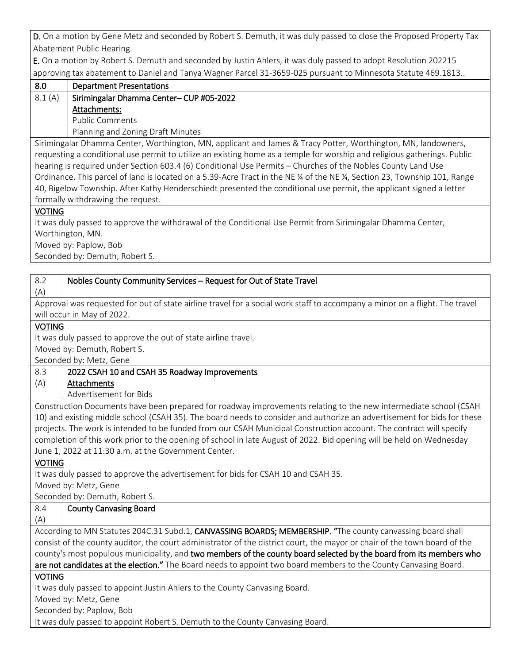D. On a motion by Gene Metz and seconded by Robert S. Demuth, it was duly passed to close the Proposed Property Tax Abatement Public Hearing.

E. On a motion by Robert S. Demuth and seconded by Justin Ahlers, it was duly passed to adopt Resolution 202215 approving tax abatement to Daniel and Tanya Wagner Parcel 31-3659-025 pursuant to Minnesota Statute 469.1813..

| 8.0    | <b>Department Presentations</b>          |
|--------|------------------------------------------|
| 8.1(A) | Sirimingalar Dhamma Center- CUP #05-2022 |
|        | Attachments:                             |
|        | <b>Public Comments</b>                   |
|        | Planning and Zoning Draft Minutes        |

Sirimingalar Dhamma Center, Worthington, MN, applicant and James & Tracy Potter, Worthington, MN, landowners, requesting a conditional use permit to utilize an existing home as a temple for worship and religious gatherings. Public hearing is required under Section 603.4 (6) Conditional Use Permits – Churches of the Nobles County Land Use Ordinance. This parcel of land is located on a 5.39-Acre Tract in the NE ¼ of the NE ¼, Section 23, Township 101, Range 40, Bigelow Township. After Kathy Henderschiedt presented the conditional use permit, the applicant signed a letter formally withdrawing the request.

VOTING

It was duly passed to approve the withdrawal of the Conditional Use Permit from Sirimingalar Dhamma Center, Worthington, MN.

Moved by: Paplow, Bob

Seconded by: Demuth, Robert S.

| 8.2<br>Nobles County Community Services - Request for Out of State Travel                                                   |  |  |
|-----------------------------------------------------------------------------------------------------------------------------|--|--|
| (A)                                                                                                                         |  |  |
| Approval was requested for out of state airline travel for a social work staff to accompany a minor on a flight. The travel |  |  |
| will occur in May of 2022.                                                                                                  |  |  |
| <b>VOTING</b>                                                                                                               |  |  |
| It was duly passed to approve the out of state airline travel.                                                              |  |  |
| Moved by: Demuth, Robert S.                                                                                                 |  |  |
| Seconded by: Metz, Gene                                                                                                     |  |  |
| 8.3<br>2022 CSAH 10 and CSAH 35 Roadway Improvements                                                                        |  |  |
| (A)<br>Attachments                                                                                                          |  |  |
| Advertisement for Bids                                                                                                      |  |  |
| Construction Documents have been prepared for roadway improvements relating to the new intermediate school (CSAH            |  |  |
| 10) and existing middle school (CSAH 35). The board needs to consider and authorize an advertisement for bids for these     |  |  |
| projects. The work is intended to be funded from our CSAH Municipal Construction account. The contract will specify         |  |  |
| completion of this work prior to the opening of school in late August of 2022. Bid opening will be held on Wednesday        |  |  |
| June 1, 2022 at 11:30 a.m. at the Government Center.                                                                        |  |  |
| <b>VOTING</b>                                                                                                               |  |  |
| It was duly passed to approve the advertisement for bids for CSAH 10 and CSAH 35.                                           |  |  |
| Moved by: Metz, Gene                                                                                                        |  |  |
| Seconded by: Demuth, Robert S.                                                                                              |  |  |
| 8.4<br><b>County Canvasing Board</b>                                                                                        |  |  |
| (A)                                                                                                                         |  |  |
| According to MN Statutes 204C.31 Subd.1, CANVASSING BOARDS; MEMBERSHIP. "The county canvassing board shall                  |  |  |
| consist of the county auditor, the court administrator of the district court, the mayor or chair of the town board of the   |  |  |
| county's most populous municipality, and two members of the county board selected by the board from its members who         |  |  |
| are not candidates at the election." The Board needs to appoint two board members to the County Canvasing Board.            |  |  |
| <b>VOTING</b>                                                                                                               |  |  |
| It was duly passed to appoint Justin Ahlers to the County Canvasing Board.                                                  |  |  |
| Moved by: Metz, Gene                                                                                                        |  |  |
| Seconded by: Paplow, Bob                                                                                                    |  |  |
| It was duly passed to appoint Robert S. Demuth to the County Canvasing Board.                                               |  |  |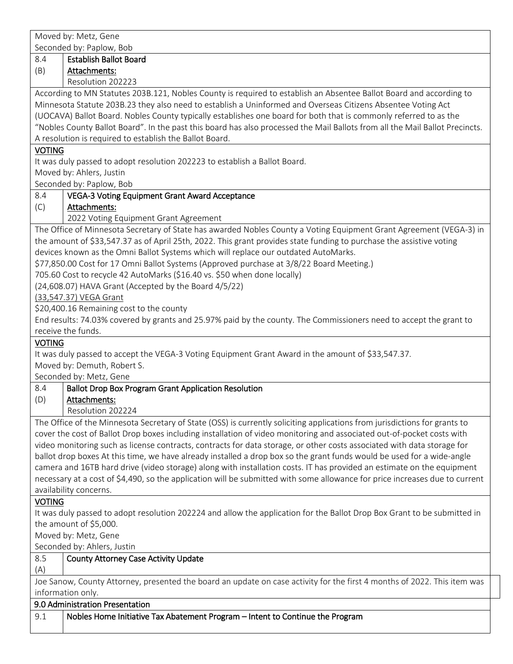|               | Moved by: Metz, Gene                                                                                                                                                                                                                             |
|---------------|--------------------------------------------------------------------------------------------------------------------------------------------------------------------------------------------------------------------------------------------------|
|               | Seconded by: Paplow, Bob                                                                                                                                                                                                                         |
| 8.4           | <b>Establish Ballot Board</b>                                                                                                                                                                                                                    |
| (B)           | Attachments:                                                                                                                                                                                                                                     |
|               | Resolution 202223                                                                                                                                                                                                                                |
|               | According to MN Statutes 203B.121, Nobles County is required to establish an Absentee Ballot Board and according to                                                                                                                              |
|               | Minnesota Statute 203B.23 they also need to establish a Uninformed and Overseas Citizens Absentee Voting Act                                                                                                                                     |
|               | (UOCAVA) Ballot Board. Nobles County typically establishes one board for both that is commonly referred to as the                                                                                                                                |
|               | "Nobles County Ballot Board". In the past this board has also processed the Mail Ballots from all the Mail Ballot Precincts.                                                                                                                     |
|               | A resolution is required to establish the Ballot Board.                                                                                                                                                                                          |
| <b>VOTING</b> |                                                                                                                                                                                                                                                  |
|               | It was duly passed to adopt resolution 202223 to establish a Ballot Board.                                                                                                                                                                       |
|               | Moved by: Ahlers, Justin                                                                                                                                                                                                                         |
|               | Seconded by: Paplow, Bob                                                                                                                                                                                                                         |
| 8.4           | <b>VEGA-3 Voting Equipment Grant Award Acceptance</b>                                                                                                                                                                                            |
| (C)           | Attachments:                                                                                                                                                                                                                                     |
|               | 2022 Voting Equipment Grant Agreement                                                                                                                                                                                                            |
|               | The Office of Minnesota Secretary of State has awarded Nobles County a Voting Equipment Grant Agreement (VEGA-3) in                                                                                                                              |
|               | the amount of \$33,547.37 as of April 25th, 2022. This grant provides state funding to purchase the assistive voting                                                                                                                             |
|               | devices known as the Omni Ballot Systems which will replace our outdated AutoMarks.                                                                                                                                                              |
|               | \$77,850.00 Cost for 17 Omni Ballot Systems (Approved purchase at 3/8/22 Board Meeting.)                                                                                                                                                         |
|               | 705.60 Cost to recycle 42 AutoMarks (\$16.40 vs. \$50 when done locally)                                                                                                                                                                         |
|               | (24,608.07) HAVA Grant (Accepted by the Board 4/5/22)                                                                                                                                                                                            |
|               | (33,547.37) VEGA Grant                                                                                                                                                                                                                           |
|               | \$20,400.16 Remaining cost to the county                                                                                                                                                                                                         |
|               | End results: 74.03% covered by grants and 25.97% paid by the county. The Commissioners need to accept the grant to<br>receive the funds.                                                                                                         |
|               |                                                                                                                                                                                                                                                  |
|               |                                                                                                                                                                                                                                                  |
| <b>VOTING</b> |                                                                                                                                                                                                                                                  |
|               | It was duly passed to accept the VEGA-3 Voting Equipment Grant Award in the amount of \$33,547.37.                                                                                                                                               |
|               | Moved by: Demuth, Robert S.                                                                                                                                                                                                                      |
|               | Seconded by: Metz, Gene                                                                                                                                                                                                                          |
| 8.4           | <b>Ballot Drop Box Program Grant Application Resolution</b>                                                                                                                                                                                      |
| (D)           | Attachments:                                                                                                                                                                                                                                     |
|               | Resolution 202224                                                                                                                                                                                                                                |
|               | The Office of the Minnesota Secretary of State (OSS) is currently soliciting applications from jurisdictions for grants to                                                                                                                       |
|               | cover the cost of Ballot Drop boxes including installation of video monitoring and associated out-of-pocket costs with                                                                                                                           |
|               | video monitoring such as license contracts, contracts for data storage, or other costs associated with data storage for                                                                                                                          |
|               | ballot drop boxes At this time, we have already installed a drop box so the grant funds would be used for a wide-angle<br>camera and 16TB hard drive (video storage) along with installation costs. IT has provided an estimate on the equipment |
|               | necessary at a cost of \$4,490, so the application will be submitted with some allowance for price increases due to current                                                                                                                      |
|               | availability concerns.                                                                                                                                                                                                                           |
| <b>VOTING</b> |                                                                                                                                                                                                                                                  |
|               | It was duly passed to adopt resolution 202224 and allow the application for the Ballot Drop Box Grant to be submitted in                                                                                                                         |
|               | the amount of \$5,000.                                                                                                                                                                                                                           |
|               | Moved by: Metz, Gene                                                                                                                                                                                                                             |
|               | Seconded by: Ahlers, Justin                                                                                                                                                                                                                      |
| 8.5           | <b>County Attorney Case Activity Update</b>                                                                                                                                                                                                      |
| (A)           |                                                                                                                                                                                                                                                  |
|               | Joe Sanow, County Attorney, presented the board an update on case activity for the first 4 months of 2022. This item was                                                                                                                         |
|               | information only.                                                                                                                                                                                                                                |
|               | 9.0 Administration Presentation                                                                                                                                                                                                                  |
| 9.1           | Nobles Home Initiative Tax Abatement Program - Intent to Continue the Program                                                                                                                                                                    |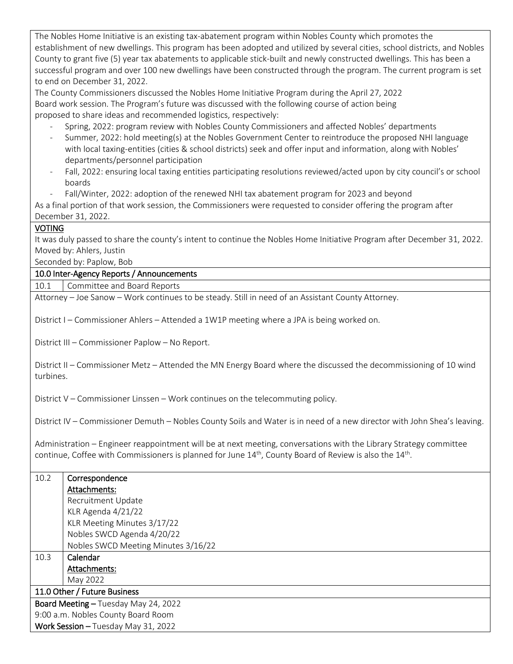The Nobles Home Initiative is an existing tax-abatement program within Nobles County which promotes the establishment of new dwellings. This program has been adopted and utilized by several cities, school districts, and Nobles County to grant five (5) year tax abatements to applicable stick-built and newly constructed dwellings. This has been a successful program and over 100 new dwellings have been constructed through the program. The current program is set to end on December 31, 2022.

The County Commissioners discussed the Nobles Home Initiative Program during the April 27, 2022 Board work session. The Program's future was discussed with the following course of action being proposed to share ideas and recommended logistics, respectively:

- Spring, 2022: program review with Nobles County Commissioners and affected Nobles' departments
- Summer, 2022: hold meeting(s) at the Nobles Government Center to reintroduce the proposed NHI language with local taxing-entities (cities & school districts) seek and offer input and information, along with Nobles' departments/personnel participation
- Fall, 2022: ensuring local taxing entities participating resolutions reviewed/acted upon by city council's or school boards
- Fall/Winter, 2022: adoption of the renewed NHI tax abatement program for 2023 and beyond

As a final portion of that work session, the Commissioners were requested to consider offering the program after December 31, 2022.

### VOTING

It was duly passed to share the county's intent to continue the Nobles Home Initiative Program after December 31, 2022. Moved by: Ahlers, Justin

Seconded by: Paplow, Bob

#### 10.0 Inter-Agency Reports / Announcements

10.1 | Committee and Board Reports

Attorney – Joe Sanow – Work continues to be steady. Still in need of an Assistant County Attorney.

District I – Commissioner Ahlers – Attended a 1W1P meeting where a JPA is being worked on.

District III – Commissioner Paplow – No Report.

District II – Commissioner Metz – Attended the MN Energy Board where the discussed the decommissioning of 10 wind turbines.

District V – Commissioner Linssen – Work continues on the telecommuting policy.

District IV – Commissioner Demuth – Nobles County Soils and Water is in need of a new director with John Shea's leaving.

Administration – Engineer reappointment will be at next meeting, conversations with the Library Strategy committee continue, Coffee with Commissioners is planned for June  $14<sup>th</sup>$ , County Board of Review is also the  $14<sup>th</sup>$ .

| 10.2                                 | Correspondence                      |
|--------------------------------------|-------------------------------------|
|                                      | Attachments:                        |
|                                      | Recruitment Update                  |
|                                      | KLR Agenda 4/21/22                  |
|                                      | KLR Meeting Minutes 3/17/22         |
|                                      | Nobles SWCD Agenda 4/20/22          |
|                                      | Nobles SWCD Meeting Minutes 3/16/22 |
| 10.3                                 | Calendar                            |
|                                      | Attachments:                        |
|                                      | May 2022                            |
| 11.0 Other / Future Business         |                                     |
| Board Meeting - Tuesday May 24, 2022 |                                     |
| 9:00 a.m. Nobles County Board Room   |                                     |
| Work Session - Tuesday May 31, 2022  |                                     |